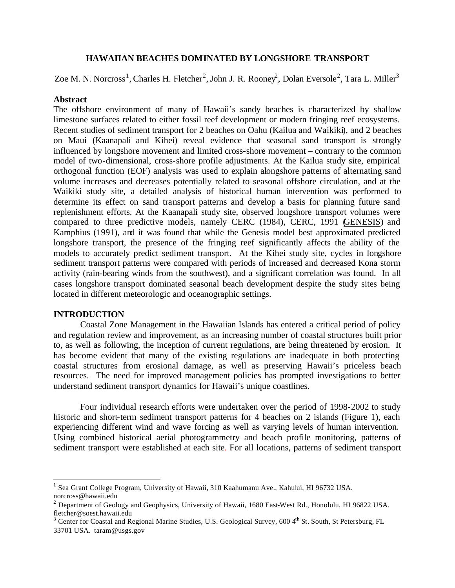## **HAWAIIAN BEACHES DOMINATED BY LONGSHORE TRANSPORT**

Zoe M. N. Norcross<sup>1</sup>, Charles H. Fletcher<sup>2</sup>, John J. R. Rooney<sup>2</sup>, Dolan Eversole<sup>2</sup>, Tara L. Miller<sup>3</sup>

## **Abstract**

The offshore environment of many of Hawaii's sandy beaches is characterized by shallow limestone surfaces related to either fossil reef development or modern fringing reef ecosystems. Recent studies of sediment transport for 2 beaches on Oahu (Kailua and Waikiki), and 2 beaches on Maui (Kaanapali and Kihei) reveal evidence that seasonal sand transport is strongly influenced by longshore movement and limited cross-shore movement – contrary to the common model of two-dimensional, cross-shore profile adjustments. At the Kailua study site, empirical orthogonal function (EOF) analysis was used to explain alongshore patterns of alternating sand volume increases and decreases potentially related to seasonal offshore circulation, and at the Waikiki study site, a detailed analysis of historical human intervention was performed to determine its effect on sand transport patterns and develop a basis for planning future sand replenishment efforts. At the Kaanapali study site, observed longshore transport volumes were compared to three predictive models, namely CERC (1984), CERC, 1991 (GENESIS) and Kamphius (1991), and it was found that while the Genesis model best approximated predicted longshore transport, the presence of the fringing reef significantly affects the ability of the models to accurately predict sediment transport. At the Kihei study site, cycles in longshore sediment transport patterns were compared with periods of increased and decreased Kona storm activity (rain-bearing winds from the southwest), and a significant correlation was found. In all cases longshore transport dominated seasonal beach development despite the study sites being located in different meteorologic and oceanographic settings.

# **INTRODUCTION**

 $\overline{a}$ 

Coastal Zone Management in the Hawaiian Islands has entered a critical period of policy and regulation review and improvement, as an increasing number of coastal structures built prior to, as well as following, the inception of current regulations, are being threatened by erosion. It has become evident that many of the existing regulations are inadequate in both protecting coastal structures from erosional damage, as well as preserving Hawaii's priceless beach resources. The need for improved management policies has prompted investigations to better understand sediment transport dynamics for Hawaii's unique coastlines.

Four individual research efforts were undertaken over the period of 1998-2002 to study historic and short-term sediment transport patterns for 4 beaches on 2 islands (Figure 1), each experiencing different wind and wave forcing as well as varying levels of human intervention. Using combined historical aerial photogrammetry and beach profile monitoring, patterns of sediment transport were established at each site. For all locations, patterns of sediment transport

<sup>&</sup>lt;sup>1</sup> Sea Grant College Program, University of Hawaii, 310 Kaahumanu Ave., Kahului, HI 96732 USA. norcross@hawaii.edu

 $2$  Department of Geology and Geophysics, University of Hawaii, 1680 East-West Rd., Honolulu, HI 96822 USA. fletcher@soest.hawaii.edu

 $3$  Center for Coastal and Regional Marine Studies, U.S. Geological Survey, 600 4<sup>th</sup> St. South, St Petersburg, FL 33701 USA. taram@usgs.gov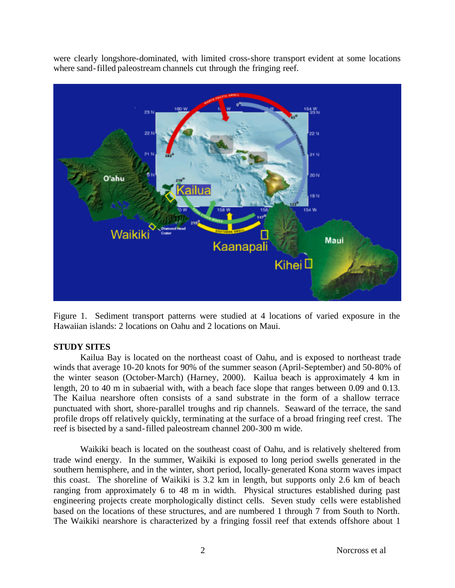were clearly longshore-dominated, with limited cross-shore transport evident at some locations where sand-filled paleostream channels cut through the fringing reef.



Figure 1. Sediment transport patterns were studied at 4 locations of varied exposure in the Hawaiian islands: 2 locations on Oahu and 2 locations on Maui.

# **STUDY SITES**

Kailua Bay is located on the northeast coast of Oahu, and is exposed to northeast trade winds that average 10-20 knots for 90% of the summer season (April-September) and 50-80% of the winter season (October-March) (Harney, 2000). Kailua beach is approximately 4 km in length, 20 to 40 m in subaerial with, with a beach face slope that ranges between 0.09 and 0.13. The Kailua nearshore often consists of a sand substrate in the form of a shallow terrace punctuated with short, shore-parallel troughs and rip channels. Seaward of the terrace, the sand profile drops off relatively quickly, terminating at the surface of a broad fringing reef crest. The reef is bisected by a sand-filled paleostream channel 200-300 m wide.

Waikiki beach is located on the southeast coast of Oahu, and is relatively sheltered from trade wind energy. In the summer, Waikiki is exposed to long period swells generated in the southern hemisphere, and in the winter, short period, locally-generated Kona storm waves impact this coast. The shoreline of Waikiki is 3.2 km in length, but supports only 2.6 km of beach ranging from approximately 6 to 48 m in width. Physical structures established during past engineering projects create morphologically distinct cells. Seven study cells were established based on the locations of these structures, and are numbered 1 through 7 from South to North. The Waikiki nearshore is characterized by a fringing fossil reef that extends offshore about 1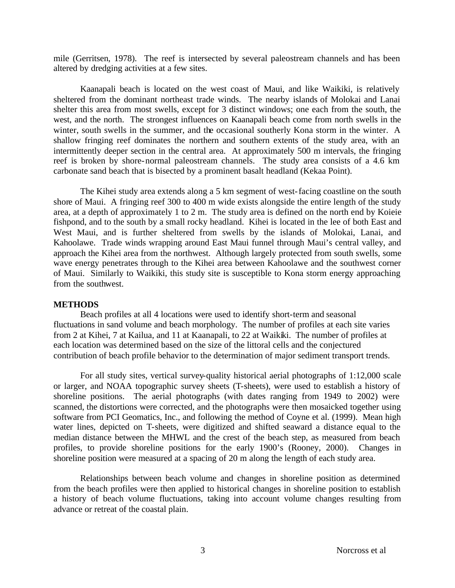mile (Gerritsen, 1978). The reef is intersected by several paleostream channels and has been altered by dredging activities at a few sites.

Kaanapali beach is located on the west coast of Maui, and like Waikiki, is relatively sheltered from the dominant northeast trade winds. The nearby islands of Molokai and Lanai shelter this area from most swells, except for 3 distinct windows; one each from the south, the west, and the north. The strongest influences on Kaanapali beach come from north swells in the winter, south swells in the summer, and the occasional southerly Kona storm in the winter. A shallow fringing reef dominates the northern and southern extents of the study area, with an intermittently deeper section in the central area. At approximately 500 m intervals, the fringing reef is broken by shore-normal paleostream channels. The study area consists of a 4.6 km carbonate sand beach that is bisected by a prominent basalt headland (Kekaa Point).

The Kihei study area extends along a 5 km segment of west-facing coastline on the south shore of Maui. A fringing reef 300 to 400 m wide exists alongside the entire length of the study area, at a depth of approximately 1 to 2 m. The study area is defined on the north end by Koieie fishpond, and to the south by a small rocky headland. Kihei is located in the lee of both East and West Maui, and is further sheltered from swells by the islands of Molokai, Lanai, and Kahoolawe. Trade winds wrapping around East Maui funnel through Maui's central valley, and approach the Kihei area from the northwest. Although largely protected from south swells, some wave energy penetrates through to the Kihei area between Kahoolawe and the southwest corner of Maui. Similarly to Waikiki, this study site is susceptible to Kona storm energy approaching from the southwest.

#### **METHODS**

Beach profiles at all 4 locations were used to identify short-term and seasonal fluctuations in sand volume and beach morphology. The number of profiles at each site varies from 2 at Kihei, 7 at Kailua, and 11 at Kaanapali, to 22 at Waikiki. The number of profiles at each location was determined based on the size of the littoral cells and the conjectured contribution of beach profile behavior to the determination of major sediment transport trends.

For all study sites, vertical survey-quality historical aerial photographs of 1:12,000 scale or larger, and NOAA topographic survey sheets (T-sheets), were used to establish a history of shoreline positions. The aerial photographs (with dates ranging from 1949 to 2002) were scanned, the distortions were corrected, and the photographs were then mosaicked together using software from PCI Geomatics, Inc., and following the method of Coyne et al. (1999). Mean high water lines, depicted on T-sheets, were digitized and shifted seaward a distance equal to the median distance between the MHWL and the crest of the beach step, as measured from beach profiles, to provide shoreline positions for the early 1900's (Rooney, 2000). Changes in shoreline position were measured at a spacing of 20 m along the length of each study area.

Relationships between beach volume and changes in shoreline position as determined from the beach profiles were then applied to historical changes in shoreline position to establish a history of beach volume fluctuations, taking into account volume changes resulting from advance or retreat of the coastal plain.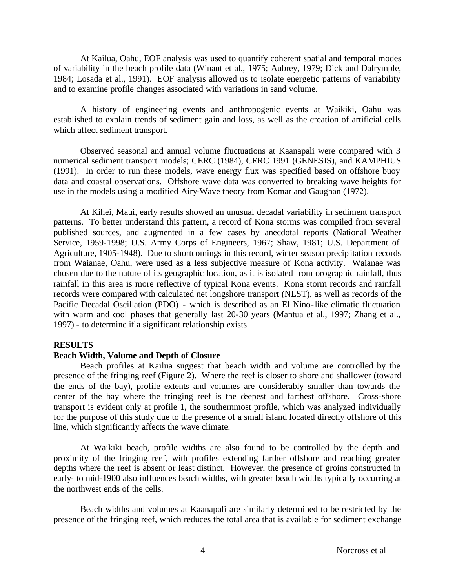At Kailua, Oahu, EOF analysis was used to quantify coherent spatial and temporal modes of variability in the beach profile data (Winant et al., 1975; Aubrey, 1979; Dick and Dalrymple, 1984; Losada et al., 1991). EOF analysis allowed us to isolate energetic patterns of variability and to examine profile changes associated with variations in sand volume.

A history of engineering events and anthropogenic events at Waikiki, Oahu was established to explain trends of sediment gain and loss, as well as the creation of artificial cells which affect sediment transport.

Observed seasonal and annual volume fluctuations at Kaanapali were compared with 3 numerical sediment transport models; CERC (1984), CERC 1991 (GENESIS), and KAMPHIUS (1991). In order to run these models, wave energy flux was specified based on offshore buoy data and coastal observations. Offshore wave data was converted to breaking wave heights for use in the models using a modified Airy-Wave theory from Komar and Gaughan (1972).

At Kihei, Maui, early results showed an unusual decadal variability in sediment transport patterns. To better understand this pattern, a record of Kona storms was compiled from several published sources, and augmented in a few cases by anecdotal reports (National Weather Service, 1959-1998; U.S. Army Corps of Engineers, 1967; Shaw, 1981; U.S. Department of Agriculture, 1905-1948). Due to shortcomings in this record, winter season precipitation records from Waianae, Oahu, were used as a less subjective measure of Kona activity. Waianae was chosen due to the nature of its geographic location, as it is isolated from orographic rainfall, thus rainfall in this area is more reflective of typical Kona events. Kona storm records and rainfall records were compared with calculated net longshore transport (NLST), as well as records of the Pacific Decadal Oscillation (PDO) - which is described as an El Nino-like climatic fluctuation with warm and cool phases that generally last 20-30 years (Mantua et al., 1997; Zhang et al., 1997) - to determine if a significant relationship exists.

## **RESULTS**

## **Beach Width, Volume and Depth of Closure**

Beach profiles at Kailua suggest that beach width and volume are controlled by the presence of the fringing reef (Figure 2). Where the reef is closer to shore and shallower (toward the ends of the bay), profile extents and volumes are considerably smaller than towards the center of the bay where the fringing reef is the deepest and farthest offshore. Cross-shore transport is evident only at profile 1, the southernmost profile, which was analyzed individually for the purpose of this study due to the presence of a small island located directly offshore of this line, which significantly affects the wave climate.

At Waikiki beach, profile widths are also found to be controlled by the depth and proximity of the fringing reef, with profiles extending farther offshore and reaching greater depths where the reef is absent or least distinct. However, the presence of groins constructed in early- to mid-1900 also influences beach widths, with greater beach widths typically occurring at the northwest ends of the cells.

Beach widths and volumes at Kaanapali are similarly determined to be restricted by the presence of the fringing reef, which reduces the total area that is available for sediment exchange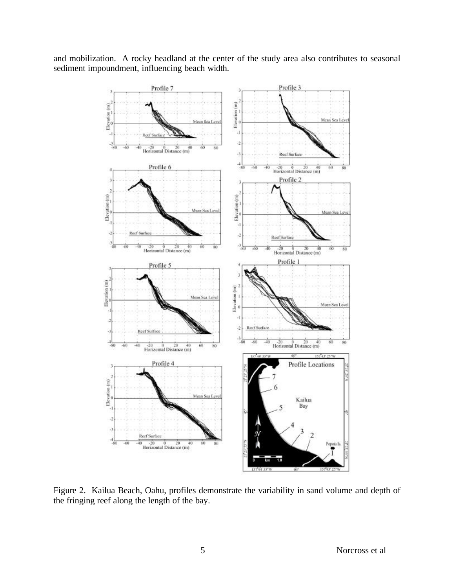and mobilization. A rocky headland at the center of the study area also contributes to seasonal sediment impoundment, influencing beach width.



Figure 2. Kailua Beach, Oahu, profiles demonstrate the variability in sand volume and depth of the fringing reef along the length of the bay.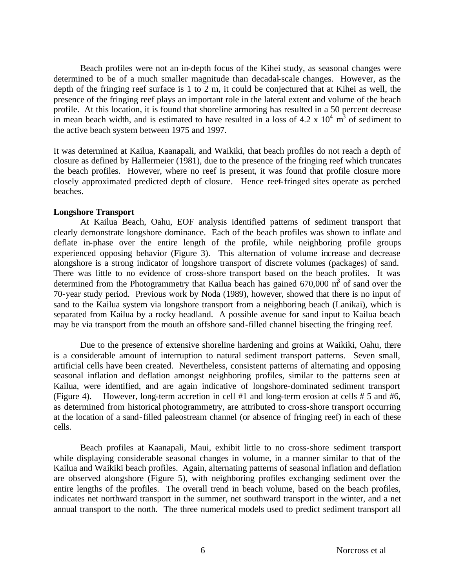Beach profiles were not an in-depth focus of the Kihei study, as seasonal changes were determined to be of a much smaller magnitude than decadal-scale changes. However, as the depth of the fringing reef surface is 1 to 2 m, it could be conjectured that at Kihei as well, the presence of the fringing reef plays an important role in the lateral extent and volume of the beach profile. At this location, it is found that shoreline armoring has resulted in a 50 percent decrease in mean beach width, and is estimated to have resulted in a loss of  $4.2 \times 10^4$  m<sup>3</sup> of sediment to the active beach system between 1975 and 1997.

It was determined at Kailua, Kaanapali, and Waikiki, that beach profiles do not reach a depth of closure as defined by Hallermeier (1981), due to the presence of the fringing reef which truncates the beach profiles. However, where no reef is present, it was found that profile closure more closely approximated predicted depth of closure. Hence reef-fringed sites operate as perched beaches.

#### **Longshore Transport**

At Kailua Beach, Oahu, EOF analysis identified patterns of sediment transport that clearly demonstrate longshore dominance. Each of the beach profiles was shown to inflate and deflate in-phase over the entire length of the profile, while neighboring profile groups experienced opposing behavior (Figure 3). This alternation of volume increase and decrease alongshore is a strong indicator of longshore transport of discrete volumes (packages) of sand. There was little to no evidence of cross-shore transport based on the beach profiles. It was determined from the Photogrammetry that Kailua beach has gained  $670,000 \text{ m}^3$  of sand over the 70-year study period. Previous work by Noda (1989), however, showed that there is no input of sand to the Kailua system via longshore transport from a neighboring beach (Lanikai), which is separated from Kailua by a rocky headland. A possible avenue for sand input to Kailua beach may be via transport from the mouth an offshore sand-filled channel bisecting the fringing reef.

Due to the presence of extensive shoreline hardening and groins at Waikiki, Oahu, there is a considerable amount of interruption to natural sediment transport patterns. Seven small, artificial cells have been created. Nevertheless, consistent patterns of alternating and opposing seasonal inflation and deflation amongst neighboring profiles, similar to the patterns seen at Kailua, were identified, and are again indicative of longshore-dominated sediment transport (Figure 4). However, long-term accretion in cell #1 and long-term erosion at cells # 5 and #6, as determined from historical photogrammetry, are attributed to cross-shore transport occurring at the location of a sand-filled paleostream channel (or absence of fringing reef) in each of these cells.

Beach profiles at Kaanapali, Maui, exhibit little to no cross-shore sediment transport while displaying considerable seasonal changes in volume, in a manner similar to that of the Kailua and Waikiki beach profiles. Again, alternating patterns of seasonal inflation and deflation are observed alongshore (Figure 5), with neighboring profiles exchanging sediment over the entire lengths of the profiles. The overall trend in beach volume, based on the beach profiles, indicates net northward transport in the summer, net southward transport in the winter, and a net annual transport to the north. The three numerical models used to predict sediment transport all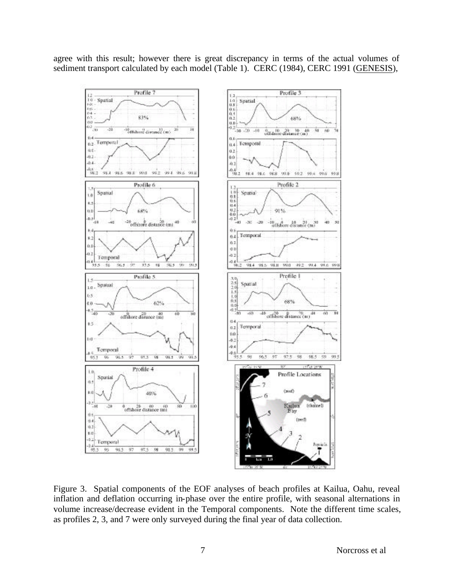agree with this result; however there is great discrepancy in terms of the actual volumes of sediment transport calculated by each model (Table 1). CERC (1984), CERC 1991 (GENESIS),



Figure 3. Spatial components of the EOF analyses of beach profiles at Kailua, Oahu, reveal inflation and deflation occurring in-phase over the entire profile, with seasonal alternations in volume increase/decrease evident in the Temporal components. Note the different time scales, as profiles 2, 3, and 7 were only surveyed during the final year of data collection.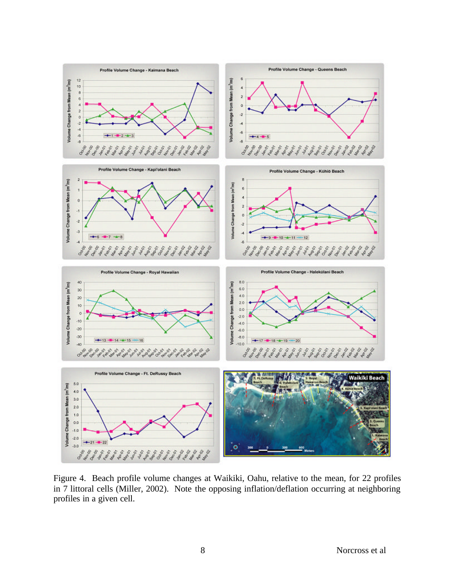

Figure 4. Beach profile volume changes at Waikiki, Oahu, relative to the mean, for 22 profiles in 7 littoral cells (Miller, 2002). Note the opposing inflation/deflation occurring at neighboring profiles in a given cell.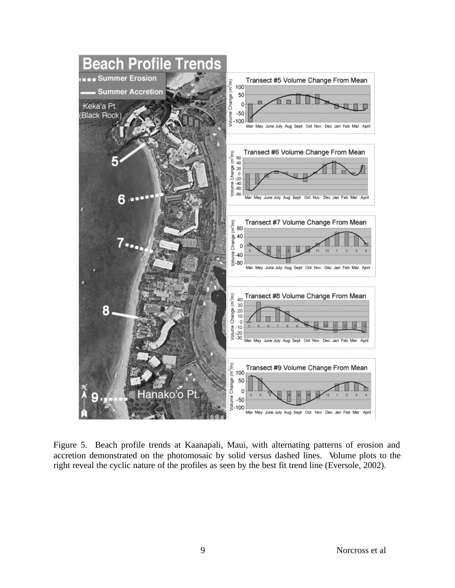

Figure 5. Beach profile trends at Kaanapali, Maui, with alternating patterns of erosion and accretion demonstrated on the photomosaic by solid versus dashed lines. Volume plots to the right reveal the cyclic nature of the profiles as seen by the best fit trend line (Eversole, 2002).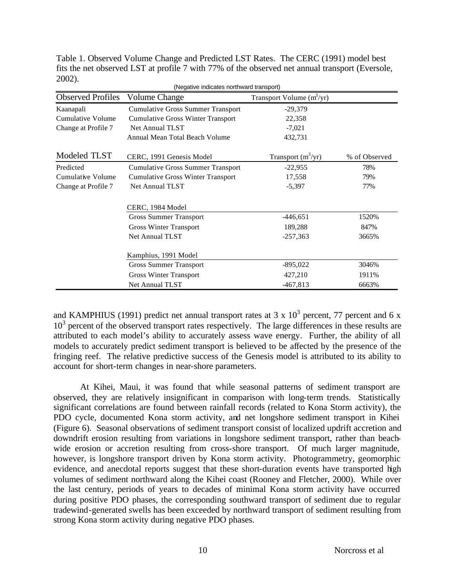| (Negative indicates northward transport) |                                          |                             |               |
|------------------------------------------|------------------------------------------|-----------------------------|---------------|
| <b>Observed Profiles</b>                 | <b>Volume Change</b>                     | Transport Volume $(m^3/yr)$ |               |
| Kaanapali                                | <b>Cumulative Gross Summer Transport</b> | $-29,379$                   |               |
| Cumulative Volume                        | <b>Cumulative Gross Winter Transport</b> | 22,358                      |               |
| Change at Profile 7                      | Net Annual TLST                          | $-7,021$                    |               |
|                                          | Annual Mean Total Beach Volume           | 432,731                     |               |
| Modeled TLST                             | CERC, 1991 Genesis Model                 | Transport $(m^3/yr)$        | % of Observed |
| Predicted                                | <b>Cumulative Gross Summer Transport</b> | $-22,955$                   | 78%           |
| <b>Cumulative Volume</b>                 | <b>Cumulative Gross Winter Transport</b> | 17,558                      | 79%           |
| Change at Profile 7                      | Net Annual TLST                          | $-5,397$                    | 77%           |
|                                          | CERC, 1984 Model                         |                             |               |
|                                          | <b>Gross Summer Transport</b>            | $-446,651$                  | 1520%         |
|                                          | <b>Gross Winter Transport</b>            | 189,288                     | 847%          |
|                                          | <b>Net Annual TLST</b>                   | $-257,363$                  | 3665%         |
|                                          | Kamphius, 1991 Model                     |                             |               |
|                                          | <b>Gross Summer Transport</b>            | $-895,022$                  | 3046%         |
|                                          | <b>Gross Winter Transport</b>            | 427,210                     | 1911%         |
|                                          | <b>Net Annual TLST</b>                   | $-467,813$                  | 6663%         |

Table 1. Observed Volume Change and Predicted LST Rates.The CERC (1991) model best fits the net observed LST at profile 7 with 77% of the observed net annual transport (Eversole, 2002).

and KAMPHIUS (1991) predict net annual transport rates at  $3 \times 10^3$  percent, 77 percent and 6 x 10<sup>3</sup> percent of the observed transport rates respectively. The large differences in these results are attributed to each model's ability to accurately assess wave energy. Further, the ability of all models to accurately predict sediment transport is believed to be affected by the presence of the fringing reef. The relative predictive success of the Genesis model is attributed to its ability to account for short-term changes in near-shore parameters.

At Kihei, Maui, it was found that while seasonal patterns of sediment transport are observed, they are relatively insignificant in comparison with long-term trends. Statistically significant correlations are found between rainfall records (related to Kona Storm activity), the PDO cycle, documented Kona storm activity, and net longshore sediment transport in Kihei (Figure 6). Seasonal observations of sediment transport consist of localized updrift accretion and downdrift erosion resulting from variations in longshore sediment transport, rather than beachwide erosion or accretion resulting from cross-shore transport. Of much larger magnitude, however, is longshore transport driven by Kona storm activity. Photogrammetry, geomorphic evidence, and anecdotal reports suggest that these short-duration events have transported high volumes of sediment northward along the Kihei coast (Rooney and Fletcher, 2000). While over the last century, periods of years to decades of minimal Kona storm activity have occurred during positive PDO phases, the corresponding southward transport of sediment due to regular tradewind-generated swells has been exceeded by northward transport of sediment resulting from strong Kona storm activity during negative PDO phases.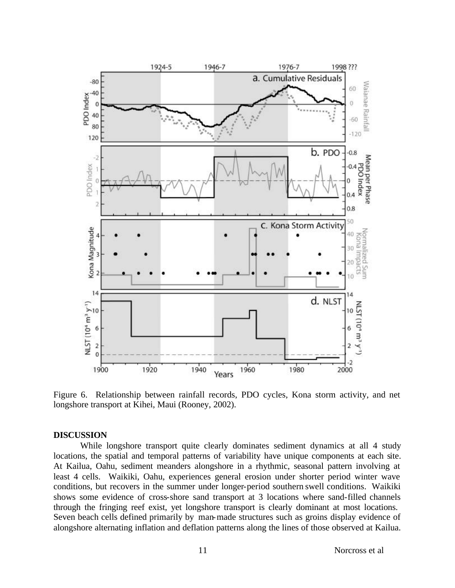

Figure 6. Relationship between rainfall records, PDO cycles, Kona storm activity, and net longshore transport at Kihei, Maui (Rooney, 2002).

#### **DISCUSSION**

While longshore transport quite clearly dominates sediment dynamics at all 4 study locations, the spatial and temporal patterns of variability have unique components at each site. At Kailua, Oahu, sediment meanders alongshore in a rhythmic, seasonal pattern involving at least 4 cells. Waikiki, Oahu, experiences general erosion under shorter period winter wave conditions, but recovers in the summer under longer-period southern swell conditions. Waikiki shows some evidence of cross-shore sand transport at 3 locations where sand-filled channels through the fringing reef exist, yet longshore transport is clearly dominant at most locations. Seven beach cells defined primarily by man-made structures such as groins display evidence of alongshore alternating inflation and deflation patterns along the lines of those observed at Kailua.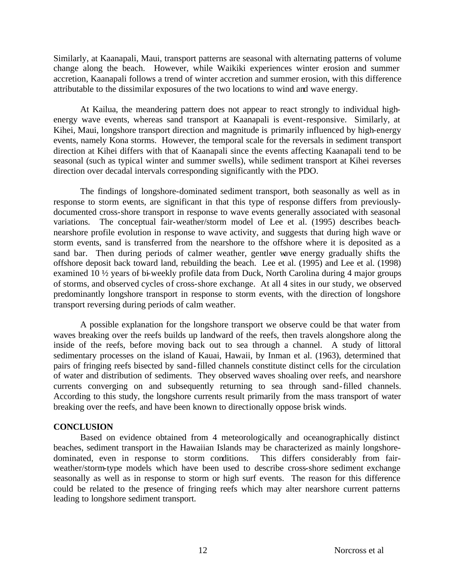Similarly, at Kaanapali, Maui, transport patterns are seasonal with alternating patterns of volume change along the beach. However, while Waikiki experiences winter erosion and summer accretion, Kaanapali follows a trend of winter accretion and summer erosion, with this difference attributable to the dissimilar exposures of the two locations to wind and wave energy.

At Kailua, the meandering pattern does not appear to react strongly to individual highenergy wave events, whereas sand transport at Kaanapali is event-responsive. Similarly, at Kihei, Maui, longshore transport direction and magnitude is primarily influenced by high-energy events, namely Kona storms. However, the temporal scale for the reversals in sediment transport direction at Kihei differs with that of Kaanapali since the events affecting Kaanapali tend to be seasonal (such as typical winter and summer swells), while sediment transport at Kihei reverses direction over decadal intervals corresponding significantly with the PDO.

The findings of longshore-dominated sediment transport, both seasonally as well as in response to storm events, are significant in that this type of response differs from previouslydocumented cross-shore transport in response to wave events generally associated with seasonal variations. The conceptual fair-weather/storm model of Lee et al. (1995) describes beachnearshore profile evolution in response to wave activity, and suggests that during high wave or storm events, sand is transferred from the nearshore to the offshore where it is deposited as a sand bar. Then during periods of calmer weather, gentler wave energy gradually shifts the offshore deposit back toward land, rebuilding the beach. Lee et al. (1995) and Lee et al. (1998) examined 10 ½ years of bi-weekly profile data from Duck, North Carolina during 4 major groups of storms, and observed cycles of cross-shore exchange. At all 4 sites in our study, we observed predominantly longshore transport in response to storm events, with the direction of longshore transport reversing during periods of calm weather.

A possible explanation for the longshore transport we observe could be that water from waves breaking over the reefs builds up landward of the reefs, then travels alongshore along the inside of the reefs, before moving back out to sea through a channel. A study of littoral sedimentary processes on the island of Kauai, Hawaii, by Inman et al. (1963), determined that pairs of fringing reefs bisected by sand-filled channels constitute distinct cells for the circulation of water and distribution of sediments. They observed waves shoaling over reefs, and nearshore currents converging on and subsequently returning to sea through sand-filled channels. According to this study, the longshore currents result primarily from the mass transport of water breaking over the reefs, and have been known to directionally oppose brisk winds.

# **CONCLUSION**

Based on evidence obtained from 4 meteorologically and oceanographically distinct beaches, sediment transport in the Hawaiian Islands may be characterized as mainly longshoredominated, even in response to storm conditions. This differs considerably from fairweather/storm-type models which have been used to describe cross-shore sediment exchange seasonally as well as in response to storm or high surf events. The reason for this difference could be related to the presence of fringing reefs which may alter nearshore current patterns leading to longshore sediment transport.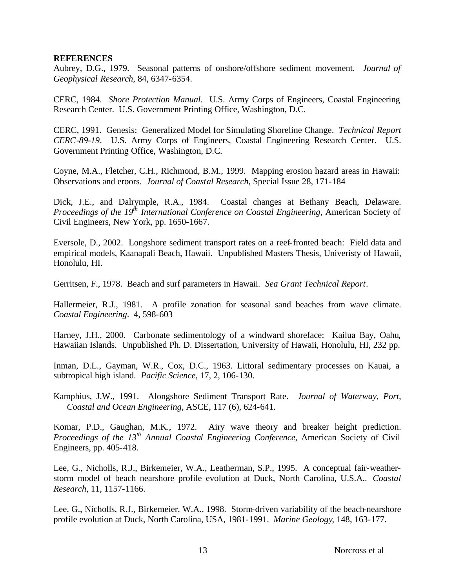#### **REFERENCES**

Aubrey, D.G., 1979. Seasonal patterns of onshore/offshore sediment movement. *Journal of Geophysical Research*, 84, 6347-6354.

CERC, 1984. *Shore Protection Manual*. U.S. Army Corps of Engineers, Coastal Engineering Research Center. U.S. Government Printing Office, Washington, D.C.

CERC, 1991. Genesis: Generalized Model for Simulating Shoreline Change. *Technical Report CERC-89-19*. U.S. Army Corps of Engineers, Coastal Engineering Research Center. U.S. Government Printing Office, Washington, D.C.

Coyne, M.A., Fletcher, C.H., Richmond, B.M., 1999. Mapping erosion hazard areas in Hawaii: Observations and eroors. *Journal of Coastal Research*, Special Issue 28, 171-184

Dick, J.E., and Dalrymple, R.A., 1984. Coastal changes at Bethany Beach, Delaware. *Proceedings of the 19th International Conference on Coastal Engineering*, American Society of Civil Engineers, New York, pp. 1650-1667.

Eversole, D., 2002. Longshore sediment transport rates on a reef-fronted beach: Field data and empirical models, Kaanapali Beach, Hawaii. Unpublished Masters Thesis, Univeristy of Hawaii, Honolulu, HI.

Gerritsen, F., 1978. Beach and surf parameters in Hawaii. *Sea Grant Technical Report*.

Hallermeier, R.J., 1981. A profile zonation for seasonal sand beaches from wave climate. *Coastal Engineering*. 4, 598-603

Harney, J.H., 2000. Carbonate sedimentology of a windward shoreface: Kailua Bay, Oahu, Hawaiian Islands. Unpublished Ph. D. Dissertation, University of Hawaii, Honolulu, HI, 232 pp.

Inman, D.L., Gayman, W.R., Cox, D.C., 1963. Littoral sedimentary processes on Kauai, a subtropical high island. *Pacific Science*, 17, 2, 106-130.

Kamphius, J.W., 1991. Alongshore Sediment Transport Rate. *Journal of Waterway, Port, Coastal and Ocean Engineering*, ASCE, 117 (6), 624-641.

Komar, P.D., Gaughan, M.K., 1972. Airy wave theory and breaker height prediction. *Proceedings of the 13th Annual Coastal Engineering Conference*, American Society of Civil Engineers, pp. 405-418.

Lee, G., Nicholls, R.J., Birkemeier, W.A., Leatherman, S.P., 1995. A conceptual fair-weatherstorm model of beach nearshore profile evolution at Duck, North Carolina, U.S.A.. *Coastal Research*, 11, 1157-1166.

Lee, G., Nicholls, R.J., Birkemeier, W.A., 1998. Storm-driven variability of the beach-nearshore profile evolution at Duck, North Carolina, USA, 1981-1991. *Marine Geology*, 148, 163-177.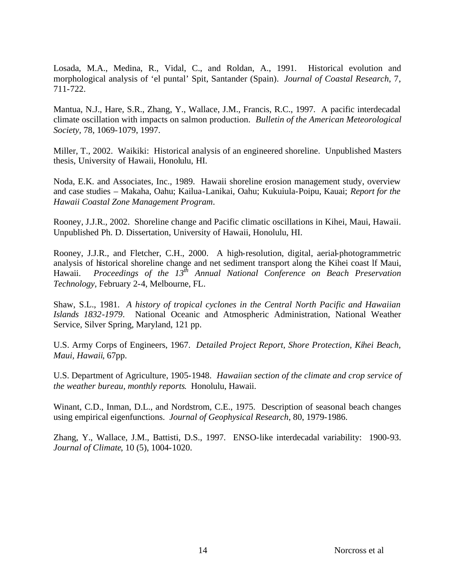Losada, M.A., Medina, R., Vidal, C., and Roldan, A., 1991. Historical evolution and morphological analysis of 'el puntal' Spit, Santander (Spain). *Journal of Coastal Research*, 7, 711-722.

Mantua, N.J., Hare, S.R., Zhang, Y., Wallace, J.M., Francis, R.C., 1997. A pacific interdecadal climate oscillation with impacts on salmon production. *Bulletin of the American Meteorological Society,* 78, 1069-1079, 1997.

Miller, T., 2002. Waikiki: Historical analysis of an engineered shoreline. Unpublished Masters thesis, University of Hawaii, Honolulu, HI.

Noda, E.K. and Associates, Inc., 1989. Hawaii shoreline erosion management study, overview and case studies – Makaha, Oahu; Kailua-Lanikai, Oahu; Kukuiula-Poipu, Kauai; *Report for the Hawaii Coastal Zone Management Program*.

Rooney, J.J.R., 2002. Shoreline change and Pacific climatic oscillations in Kihei, Maui, Hawaii. Unpublished Ph. D. Dissertation, University of Hawaii, Honolulu, HI.

Rooney, J.J.R., and Fletcher, C.H., 2000. A high-resolution, digital, aerial-photogrammetric analysis of historical shoreline change and net sediment transport along the Kihei coast lf Maui, Hawaii. *Proceedings of the 13th Annual National Conference on Beach Preservation Technology*, February 2-4, Melbourne, FL.

Shaw, S.L., 1981. *A history of tropical cyclones in the Central North Pacific and Hawaiian Islands 1832-1979*. National Oceanic and Atmospheric Administration, National Weather Service, Silver Spring, Maryland, 121 pp.

U.S. Army Corps of Engineers, 1967. *Detailed Project Report, Shore Protection, Kihei Beach, Maui, Hawaii*, 67pp.

U.S. Department of Agriculture, 1905-1948. *Hawaiian section of the climate and crop service of the weather bureau, monthly reports*. Honolulu, Hawaii.

Winant, C.D., Inman, D.L., and Nordstrom, C.E., 1975. Description of seasonal beach changes using empirical eigenfunctions. *Journal of Geophysical Research*, 80, 1979-1986.

Zhang, Y., Wallace, J.M., Battisti, D.S., 1997. ENSO-like interdecadal variability: 1900-93. *Journal of Climate*, 10 (5), 1004-1020.